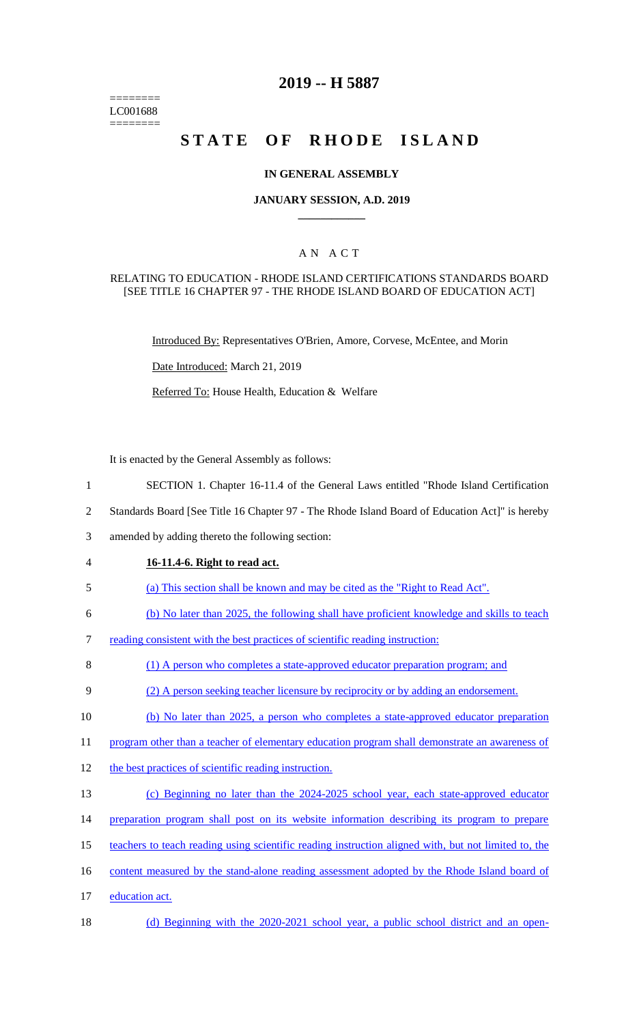======== LC001688 ========

# **2019 -- H 5887**

# **STATE OF RHODE ISLAND**

## **IN GENERAL ASSEMBLY**

## **JANUARY SESSION, A.D. 2019 \_\_\_\_\_\_\_\_\_\_\_\_**

## A N A C T

## RELATING TO EDUCATION - RHODE ISLAND CERTIFICATIONS STANDARDS BOARD [SEE TITLE 16 CHAPTER 97 - THE RHODE ISLAND BOARD OF EDUCATION ACT]

Introduced By: Representatives O'Brien, Amore, Corvese, McEntee, and Morin

Date Introduced: March 21, 2019

Referred To: House Health, Education & Welfare

It is enacted by the General Assembly as follows:

- 1 SECTION 1. Chapter 16-11.4 of the General Laws entitled "Rhode Island Certification
- 2 Standards Board [See Title 16 Chapter 97 The Rhode Island Board of Education Act]" is hereby
- 3 amended by adding thereto the following section:
- 4 **16-11.4-6. Right to read act.**
- 5 (a) This section shall be known and may be cited as the "Right to Read Act".
- 6 (b) No later than 2025, the following shall have proficient knowledge and skills to teach
- 7 reading consistent with the best practices of scientific reading instruction:
- 8 (1) A person who completes a state-approved educator preparation program; and
- 9 (2) A person seeking teacher licensure by reciprocity or by adding an endorsement.
- 10 (b) No later than 2025, a person who completes a state-approved educator preparation
- 11 program other than a teacher of elementary education program shall demonstrate an awareness of
- 12 the best practices of scientific reading instruction.
- 13 (c) Beginning no later than the 2024-2025 school year, each state-approved educator
- 14 preparation program shall post on its website information describing its program to prepare
- 15 teachers to teach reading using scientific reading instruction aligned with, but not limited to, the
- 16 content measured by the stand-alone reading assessment adopted by the Rhode Island board of
- 17 education act.
- 18 (d) Beginning with the 2020-2021 school year, a public school district and an open-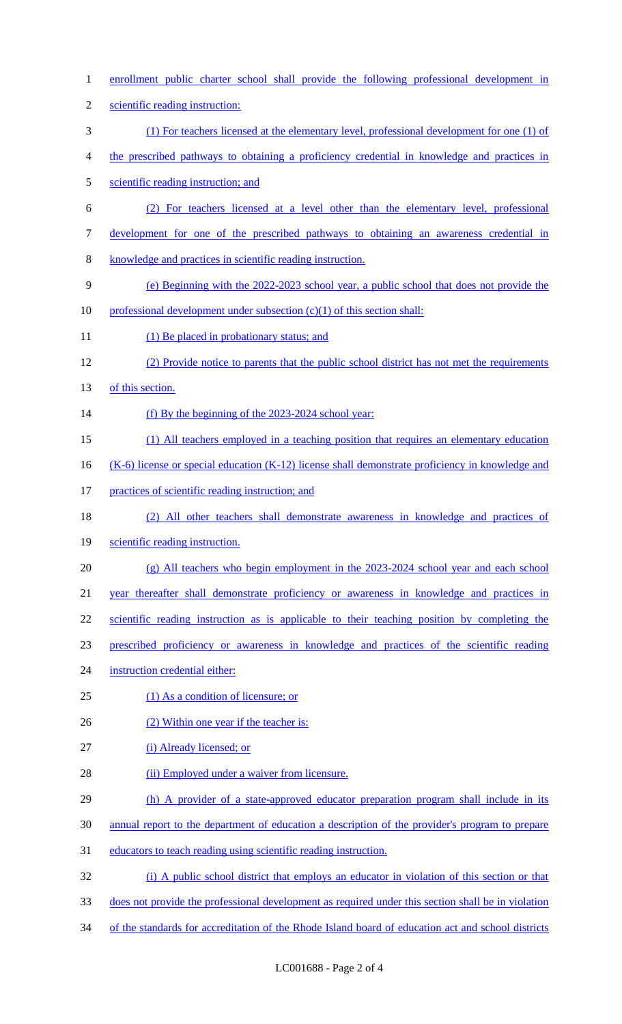enrollment public charter school shall provide the following professional development in scientific reading instruction: (1) For teachers licensed at the elementary level, professional development for one (1) of the prescribed pathways to obtaining a proficiency credential in knowledge and practices in scientific reading instruction; and (2) For teachers licensed at a level other than the elementary level, professional development for one of the prescribed pathways to obtaining an awareness credential in knowledge and practices in scientific reading instruction. (e) Beginning with the 2022-2023 school year, a public school that does not provide the 10 professional development under subsection  $(c)(1)$  of this section shall: 11 (1) Be placed in probationary status; and (2) Provide notice to parents that the public school district has not met the requirements 13 of this section. 14 (f) By the beginning of the 2023-2024 school year: (1) All teachers employed in a teaching position that requires an elementary education 16 (K-6) license or special education (K-12) license shall demonstrate proficiency in knowledge and 17 practices of scientific reading instruction; and (2) All other teachers shall demonstrate awareness in knowledge and practices of scientific reading instruction. (g) All teachers who begin employment in the 2023-2024 school year and each school year thereafter shall demonstrate proficiency or awareness in knowledge and practices in 22 scientific reading instruction as is applicable to their teaching position by completing the prescribed proficiency or awareness in knowledge and practices of the scientific reading instruction credential either: (1) As a condition of licensure; or 26 (2) Within one year if the teacher is: 27 (i) Already licensed; or 28 (ii) Employed under a waiver from licensure. 29 (h) A provider of a state-approved educator preparation program shall include in its annual report to the department of education a description of the provider's program to prepare educators to teach reading using scientific reading instruction. (i) A public school district that employs an educator in violation of this section or that does not provide the professional development as required under this section shall be in violation of the standards for accreditation of the Rhode Island board of education act and school districts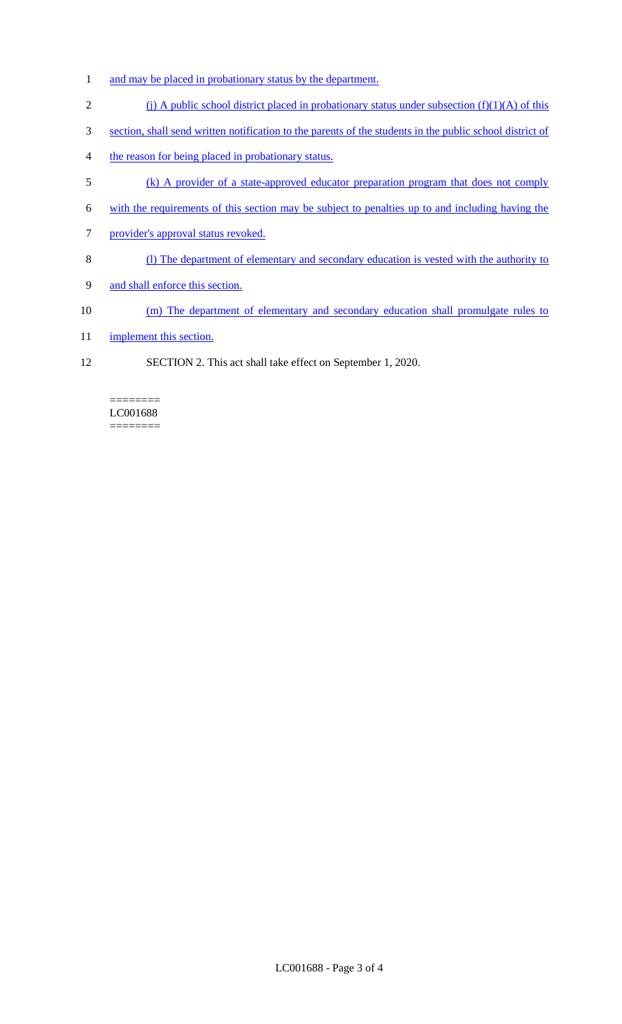- 1 and may be placed in probationary status by the department.
- 2 (j) A public school district placed in probationary status under subsection  $(f)(1)(A)$  of this
- 3 section, shall send written notification to the parents of the students in the public school district of
- 4 the reason for being placed in probationary status.
- 5 (k) A provider of a state-approved educator preparation program that does not comply
- 6 with the requirements of this section may be subject to penalties up to and including having the
- 7 provider's approval status revoked.
- 8 (l) The department of elementary and secondary education is vested with the authority to
- 9 and shall enforce this section.
- 10 (m) The department of elementary and secondary education shall promulgate rules to
- 11 implement this section.
- 12 SECTION 2. This act shall take effect on September 1, 2020.

======== LC001688 ========